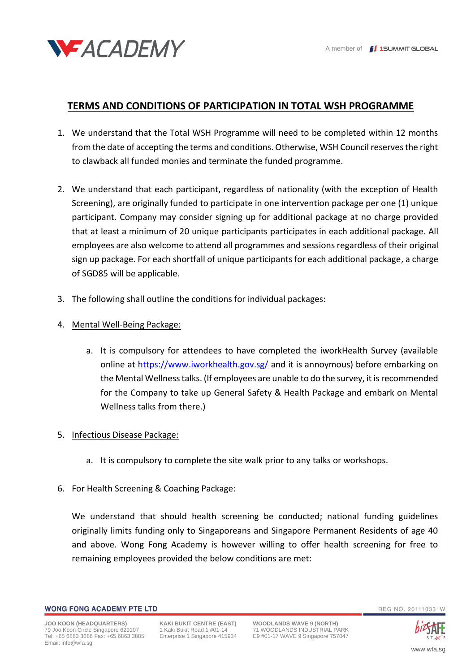

# **TERMS AND CONDITIONS OF PARTICIPATION IN TOTAL WSH PROGRAMME**

- 1. We understand that the Total WSH Programme will need to be completed within 12 months from the date of accepting the terms and conditions. Otherwise, WSH Council reserves the right to clawback all funded monies and terminate the funded programme.
- 2. We understand that each participant, regardless of nationality (with the exception of Health Screening), are originally funded to participate in one intervention package per one (1) unique participant. Company may consider signing up for additional package at no charge provided that at least a minimum of 20 unique participants participates in each additional package. All employees are also welcome to attend all programmes and sessions regardless of their original sign up package. For each shortfall of unique participants for each additional package, a charge of SGD85 will be applicable.
- 3. The following shall outline the conditions for individual packages:

### 4. Mental Well-Being Package:

a. It is compulsory for attendees to have completed the iworkHealth Survey (available online at<https://www.iworkhealth.gov.sg/> and it is annoymous) before embarking on the Mental Wellness talks. (If employees are unable to do the survey, it is recommended for the Company to take up General Safety & Health Package and embark on Mental Wellness talks from there.)

#### 5. Infectious Disease Package:

a. It is compulsory to complete the site walk prior to any talks or workshops.

#### 6. For Health Screening & Coaching Package:

We understand that should health screening be conducted; national funding guidelines originally limits funding only to Singaporeans and Singapore Permanent Residents of age 40 and above. Wong Fong Academy is however willing to offer health screening for free to remaining employees provided the below conditions are met:



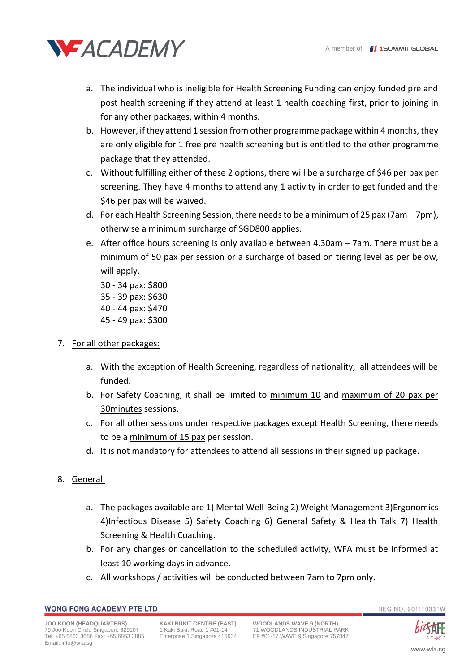

- a. The individual who is ineligible for Health Screening Funding can enjoy funded pre and post health screening if they attend at least 1 health coaching first, prior to joining in for any other packages, within 4 months.
- b. However, if they attend 1 session from other programme package within 4 months, they are only eligible for 1 free pre health screening but is entitled to the other programme package that they attended.
- c. Without fulfilling either of these 2 options, there will be a surcharge of \$46 per pax per screening. They have 4 months to attend any 1 activity in order to get funded and the \$46 per pax will be waived.
- d. For each Health Screening Session, there needs to be a minimum of 25 pax (7am 7pm), otherwise a minimum surcharge of SGD800 applies.
- e. After office hours screening is only available between 4.30am 7am. There must be a minimum of 50 pax per session or a surcharge of based on tiering level as per below, will apply.

30 - 34 pax: \$800 35 - 39 pax: \$630 40 - 44 pax: \$470 45 - 49 pax: \$300

- 7. For all other packages:
	- a. With the exception of Health Screening, regardless of nationality, all attendees will be funded.
	- b. For Safety Coaching, it shall be limited to minimum 10 and maximum of 20 pax per 30minutes sessions.
	- c. For all other sessions under respective packages except Health Screening, there needs to be a minimum of 15 pax per session.
	- d. It is not mandatory for attendees to attend all sessions in their signed up package.

## 8. General:

- a. The packages available are 1) Mental Well-Being 2) Weight Management 3)Ergonomics 4)Infectious Disease 5) Safety Coaching 6) General Safety & Health Talk 7) Health Screening & Health Coaching.
- b. For any changes or cancellation to the scheduled activity, WFA must be informed at least 10 working days in advance.
- c. All workshops / activities will be conducted between 7am to 7pm only.